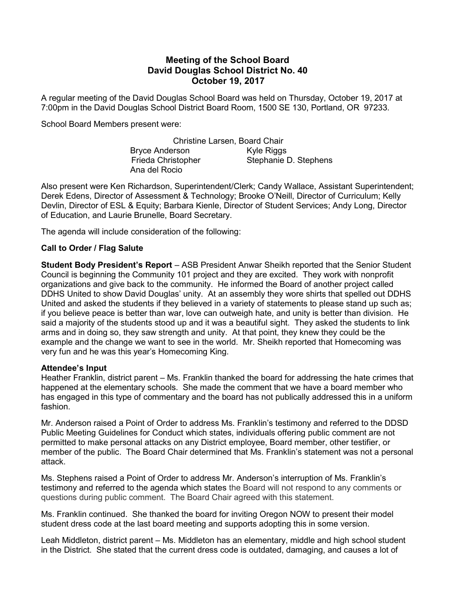# Meeting of the School Board David Douglas School District No. 40 October 19, 2017

A regular meeting of the David Douglas School Board was held on Thursday, October 19, 2017 at 7:00pm in the David Douglas School District Board Room, 1500 SE 130, Portland, OR 97233.

School Board Members present were:

Christine Larsen, Board Chair Bryce Anderson Kyle Riggs Frieda Christopher Stephanie D. Stephens Ana del Rocio

Also present were Ken Richardson, Superintendent/Clerk; Candy Wallace, Assistant Superintendent; Derek Edens, Director of Assessment & Technology; Brooke O'Neill, Director of Curriculum; Kelly Devlin, Director of ESL & Equity; Barbara Kienle, Director of Student Services; Andy Long, Director of Education, and Laurie Brunelle, Board Secretary.

The agenda will include consideration of the following:

#### Call to Order / Flag Salute

Student Body President's Report – ASB President Anwar Sheikh reported that the Senior Student Council is beginning the Community 101 project and they are excited. They work with nonprofit organizations and give back to the community. He informed the Board of another project called DDHS United to show David Douglas' unity. At an assembly they wore shirts that spelled out DDHS United and asked the students if they believed in a variety of statements to please stand up such as; if you believe peace is better than war, love can outweigh hate, and unity is better than division. He said a majority of the students stood up and it was a beautiful sight. They asked the students to link arms and in doing so, they saw strength and unity. At that point, they knew they could be the example and the change we want to see in the world. Mr. Sheikh reported that Homecoming was very fun and he was this year's Homecoming King.

#### Attendee's Input

Heather Franklin, district parent – Ms. Franklin thanked the board for addressing the hate crimes that happened at the elementary schools. She made the comment that we have a board member who has engaged in this type of commentary and the board has not publically addressed this in a uniform fashion.

Mr. Anderson raised a Point of Order to address Ms. Franklin's testimony and referred to the DDSD Public Meeting Guidelines for Conduct which states, individuals offering public comment are not permitted to make personal attacks on any District employee, Board member, other testifier, or member of the public. The Board Chair determined that Ms. Franklin's statement was not a personal attack.

Ms. Stephens raised a Point of Order to address Mr. Anderson's interruption of Ms. Franklin's testimony and referred to the agenda which states the Board will not respond to any comments or questions during public comment. The Board Chair agreed with this statement.

Ms. Franklin continued. She thanked the board for inviting Oregon NOW to present their model student dress code at the last board meeting and supports adopting this in some version.

Leah Middleton, district parent – Ms. Middleton has an elementary, middle and high school student in the District. She stated that the current dress code is outdated, damaging, and causes a lot of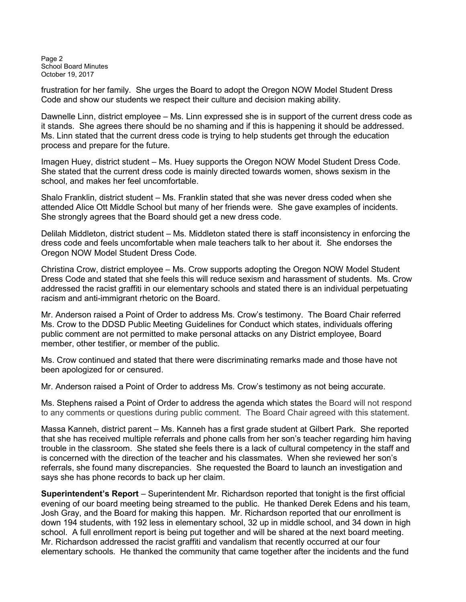Page 2 School Board Minutes October 19, 2017

frustration for her family. She urges the Board to adopt the Oregon NOW Model Student Dress Code and show our students we respect their culture and decision making ability.

Dawnelle Linn, district employee – Ms. Linn expressed she is in support of the current dress code as it stands. She agrees there should be no shaming and if this is happening it should be addressed. Ms. Linn stated that the current dress code is trying to help students get through the education process and prepare for the future.

Imagen Huey, district student – Ms. Huey supports the Oregon NOW Model Student Dress Code. She stated that the current dress code is mainly directed towards women, shows sexism in the school, and makes her feel uncomfortable.

Shalo Franklin, district student – Ms. Franklin stated that she was never dress coded when she attended Alice Ott Middle School but many of her friends were. She gave examples of incidents. She strongly agrees that the Board should get a new dress code.

Delilah Middleton, district student – Ms. Middleton stated there is staff inconsistency in enforcing the dress code and feels uncomfortable when male teachers talk to her about it. She endorses the Oregon NOW Model Student Dress Code.

Christina Crow, district employee – Ms. Crow supports adopting the Oregon NOW Model Student Dress Code and stated that she feels this will reduce sexism and harassment of students. Ms. Crow addressed the racist graffiti in our elementary schools and stated there is an individual perpetuating racism and anti-immigrant rhetoric on the Board.

Mr. Anderson raised a Point of Order to address Ms. Crow's testimony. The Board Chair referred Ms. Crow to the DDSD Public Meeting Guidelines for Conduct which states, individuals offering public comment are not permitted to make personal attacks on any District employee, Board member, other testifier, or member of the public.

Ms. Crow continued and stated that there were discriminating remarks made and those have not been apologized for or censured.

Mr. Anderson raised a Point of Order to address Ms. Crow's testimony as not being accurate.

Ms. Stephens raised a Point of Order to address the agenda which states the Board will not respond to any comments or questions during public comment. The Board Chair agreed with this statement.

Massa Kanneh, district parent – Ms. Kanneh has a first grade student at Gilbert Park. She reported that she has received multiple referrals and phone calls from her son's teacher regarding him having trouble in the classroom. She stated she feels there is a lack of cultural competency in the staff and is concerned with the direction of the teacher and his classmates. When she reviewed her son's referrals, she found many discrepancies. She requested the Board to launch an investigation and says she has phone records to back up her claim.

Superintendent's Report – Superintendent Mr. Richardson reported that tonight is the first official evening of our board meeting being streamed to the public. He thanked Derek Edens and his team, Josh Gray, and the Board for making this happen. Mr. Richardson reported that our enrollment is down 194 students, with 192 less in elementary school, 32 up in middle school, and 34 down in high school. A full enrollment report is being put together and will be shared at the next board meeting. Mr. Richardson addressed the racist graffiti and vandalism that recently occurred at our four elementary schools. He thanked the community that came together after the incidents and the fund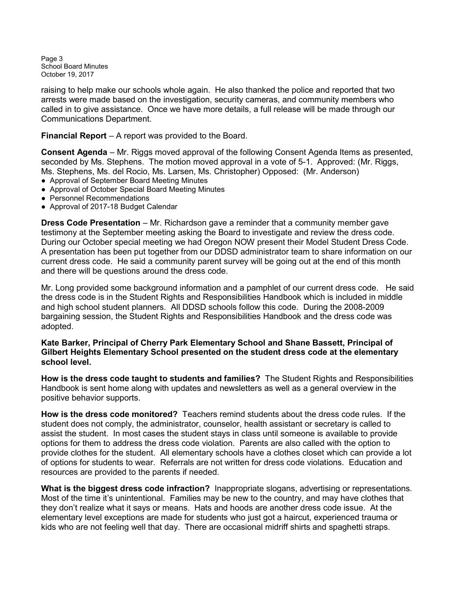Page 3 School Board Minutes October 19, 2017

raising to help make our schools whole again. He also thanked the police and reported that two arrests were made based on the investigation, security cameras, and community members who called in to give assistance. Once we have more details, a full release will be made through our Communications Department.

Financial Report – A report was provided to the Board.

Consent Agenda – Mr. Riggs moved approval of the following Consent Agenda Items as presented, seconded by Ms. Stephens. The motion moved approval in a vote of 5-1. Approved: (Mr. Riggs, Ms. Stephens, Ms. del Rocio, Ms. Larsen, Ms. Christopher) Opposed: (Mr. Anderson)

- Approval of September Board Meeting Minutes
- Approval of October Special Board Meeting Minutes
- Personnel Recommendations
- Approval of 2017-18 Budget Calendar

Dress Code Presentation – Mr. Richardson gave a reminder that a community member gave testimony at the September meeting asking the Board to investigate and review the dress code. During our October special meeting we had Oregon NOW present their Model Student Dress Code. A presentation has been put together from our DDSD administrator team to share information on our current dress code. He said a community parent survey will be going out at the end of this month and there will be questions around the dress code.

Mr. Long provided some background information and a pamphlet of our current dress code. He said the dress code is in the Student Rights and Responsibilities Handbook which is included in middle and high school student planners. All DDSD schools follow this code. During the 2008-2009 bargaining session, the Student Rights and Responsibilities Handbook and the dress code was adopted.

## Kate Barker, Principal of Cherry Park Elementary School and Shane Bassett, Principal of Gilbert Heights Elementary School presented on the student dress code at the elementary school level.

How is the dress code taught to students and families? The Student Rights and Responsibilities Handbook is sent home along with updates and newsletters as well as a general overview in the positive behavior supports.

How is the dress code monitored? Teachers remind students about the dress code rules. If the student does not comply, the administrator, counselor, health assistant or secretary is called to assist the student. In most cases the student stays in class until someone is available to provide options for them to address the dress code violation. Parents are also called with the option to provide clothes for the student. All elementary schools have a clothes closet which can provide a lot of options for students to wear. Referrals are not written for dress code violations. Education and resources are provided to the parents if needed.

What is the biggest dress code infraction? Inappropriate slogans, advertising or representations. Most of the time it's unintentional. Families may be new to the country, and may have clothes that they don't realize what it says or means. Hats and hoods are another dress code issue. At the elementary level exceptions are made for students who just got a haircut, experienced trauma or kids who are not feeling well that day. There are occasional midriff shirts and spaghetti straps.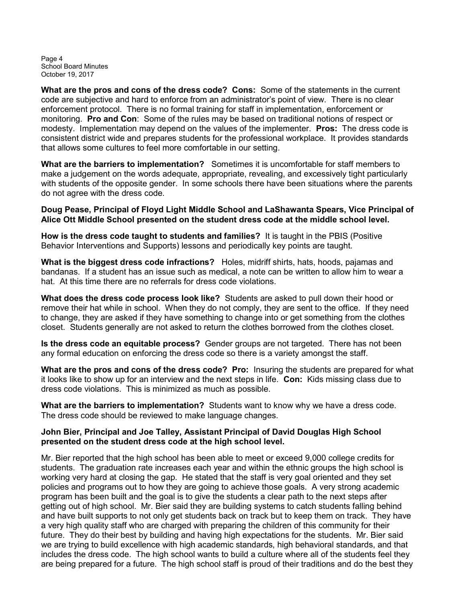Page 4 School Board Minutes October 19, 2017

What are the pros and cons of the dress code? Cons: Some of the statements in the current code are subjective and hard to enforce from an administrator's point of view. There is no clear enforcement protocol. There is no formal training for staff in implementation, enforcement or monitoring. Pro and Con: Some of the rules may be based on traditional notions of respect or modesty. Implementation may depend on the values of the implementer. **Pros:** The dress code is consistent district wide and prepares students for the professional workplace. It provides standards that allows some cultures to feel more comfortable in our setting.

What are the barriers to implementation? Sometimes it is uncomfortable for staff members to make a judgement on the words adequate, appropriate, revealing, and excessively tight particularly with students of the opposite gender. In some schools there have been situations where the parents do not agree with the dress code.

## Doug Pease, Principal of Floyd Light Middle School and LaShawanta Spears, Vice Principal of Alice Ott Middle School presented on the student dress code at the middle school level.

How is the dress code taught to students and families? It is taught in the PBIS (Positive Behavior Interventions and Supports) lessons and periodically key points are taught.

What is the biggest dress code infractions? Holes, midriff shirts, hats, hoods, pajamas and bandanas. If a student has an issue such as medical, a note can be written to allow him to wear a hat. At this time there are no referrals for dress code violations.

What does the dress code process look like? Students are asked to pull down their hood or remove their hat while in school. When they do not comply, they are sent to the office. If they need to change, they are asked if they have something to change into or get something from the clothes closet. Students generally are not asked to return the clothes borrowed from the clothes closet.

Is the dress code an equitable process? Gender groups are not targeted. There has not been any formal education on enforcing the dress code so there is a variety amongst the staff.

What are the pros and cons of the dress code? Pro: Insuring the students are prepared for what it looks like to show up for an interview and the next steps in life. **Con:** Kids missing class due to dress code violations. This is minimized as much as possible.

What are the barriers to implementation? Students want to know why we have a dress code. The dress code should be reviewed to make language changes.

# John Bier, Principal and Joe Talley, Assistant Principal of David Douglas High School presented on the student dress code at the high school level.

Mr. Bier reported that the high school has been able to meet or exceed 9,000 college credits for students. The graduation rate increases each year and within the ethnic groups the high school is working very hard at closing the gap. He stated that the staff is very goal oriented and they set policies and programs out to how they are going to achieve those goals. A very strong academic program has been built and the goal is to give the students a clear path to the next steps after getting out of high school. Mr. Bier said they are building systems to catch students falling behind and have built supports to not only get students back on track but to keep them on track. They have a very high quality staff who are charged with preparing the children of this community for their future. They do their best by building and having high expectations for the students. Mr. Bier said we are trying to build excellence with high academic standards, high behavioral standards, and that includes the dress code. The high school wants to build a culture where all of the students feel they are being prepared for a future. The high school staff is proud of their traditions and do the best they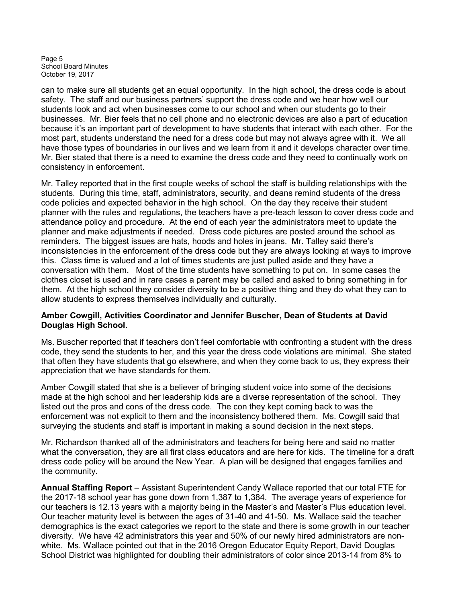Page 5 School Board Minutes October 19, 2017

can to make sure all students get an equal opportunity. In the high school, the dress code is about safety. The staff and our business partners' support the dress code and we hear how well our students look and act when businesses come to our school and when our students go to their businesses. Mr. Bier feels that no cell phone and no electronic devices are also a part of education because it's an important part of development to have students that interact with each other. For the most part, students understand the need for a dress code but may not always agree with it. We all have those types of boundaries in our lives and we learn from it and it develops character over time. Mr. Bier stated that there is a need to examine the dress code and they need to continually work on consistency in enforcement.

Mr. Talley reported that in the first couple weeks of school the staff is building relationships with the students. During this time, staff, administrators, security, and deans remind students of the dress code policies and expected behavior in the high school. On the day they receive their student planner with the rules and regulations, the teachers have a pre-teach lesson to cover dress code and attendance policy and procedure. At the end of each year the administrators meet to update the planner and make adjustments if needed. Dress code pictures are posted around the school as reminders. The biggest issues are hats, hoods and holes in jeans. Mr. Talley said there's inconsistencies in the enforcement of the dress code but they are always looking at ways to improve this. Class time is valued and a lot of times students are just pulled aside and they have a conversation with them. Most of the time students have something to put on. In some cases the clothes closet is used and in rare cases a parent may be called and asked to bring something in for them. At the high school they consider diversity to be a positive thing and they do what they can to allow students to express themselves individually and culturally.

# Amber Cowgill, Activities Coordinator and Jennifer Buscher, Dean of Students at David Douglas High School.

Ms. Buscher reported that if teachers don't feel comfortable with confronting a student with the dress code, they send the students to her, and this year the dress code violations are minimal. She stated that often they have students that go elsewhere, and when they come back to us, they express their appreciation that we have standards for them.

Amber Cowgill stated that she is a believer of bringing student voice into some of the decisions made at the high school and her leadership kids are a diverse representation of the school. They listed out the pros and cons of the dress code. The con they kept coming back to was the enforcement was not explicit to them and the inconsistency bothered them. Ms. Cowgill said that surveying the students and staff is important in making a sound decision in the next steps.

Mr. Richardson thanked all of the administrators and teachers for being here and said no matter what the conversation, they are all first class educators and are here for kids. The timeline for a draft dress code policy will be around the New Year. A plan will be designed that engages families and the community.

Annual Staffing Report – Assistant Superintendent Candy Wallace reported that our total FTE for the 2017-18 school year has gone down from 1,387 to 1,384. The average years of experience for our teachers is 12.13 years with a majority being in the Master's and Master's Plus education level. Our teacher maturity level is between the ages of 31-40 and 41-50. Ms. Wallace said the teacher demographics is the exact categories we report to the state and there is some growth in our teacher diversity. We have 42 administrators this year and 50% of our newly hired administrators are nonwhite. Ms. Wallace pointed out that in the 2016 Oregon Educator Equity Report, David Douglas School District was highlighted for doubling their administrators of color since 2013-14 from 8% to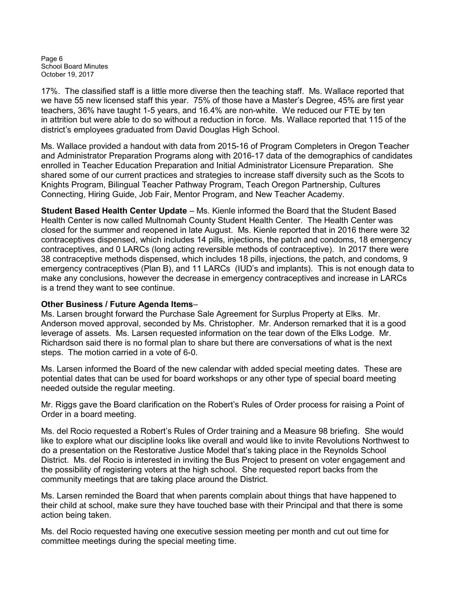Page 6 School Board Minutes October 19, 2017

17%. The classified staff is a little more diverse then the teaching staff. Ms. Wallace reported that we have 55 new licensed staff this year. 75% of those have a Master's Degree, 45% are first year teachers, 36% have taught 1-5 years, and 16.4% are non-white. We reduced our FTE by ten in attrition but were able to do so without a reduction in force. Ms. Wallace reported that 115 of the district's employees graduated from David Douglas High School.

Ms. Wallace provided a handout with data from 2015-16 of Program Completers in Oregon Teacher and Administrator Preparation Programs along with 2016-17 data of the demographics of candidates enrolled in Teacher Education Preparation and Initial Administrator Licensure Preparation. She shared some of our current practices and strategies to increase staff diversity such as the Scots to Knights Program, Bilingual Teacher Pathway Program, Teach Oregon Partnership, Cultures Connecting, Hiring Guide, Job Fair, Mentor Program, and New Teacher Academy.

Student Based Health Center Update – Ms. Kienle informed the Board that the Student Based Health Center is now called Multnomah County Student Health Center. The Health Center was closed for the summer and reopened in late August. Ms. Kienle reported that in 2016 there were 32 contraceptives dispensed, which includes 14 pills, injections, the patch and condoms, 18 emergency contraceptives, and 0 LARCs (long acting reversible methods of contraceptive). In 2017 there were 38 contraceptive methods dispensed, which includes 18 pills, injections, the patch, and condoms, 9 emergency contraceptives (Plan B), and 11 LARCs (IUD's and implants). This is not enough data to make any conclusions, however the decrease in emergency contraceptives and increase in LARCs is a trend they want to see continue.

## Other Business / Future Agenda Items–

Ms. Larsen brought forward the Purchase Sale Agreement for Surplus Property at Elks. Mr. Anderson moved approval, seconded by Ms. Christopher. Mr. Anderson remarked that it is a good leverage of assets. Ms. Larsen requested information on the tear down of the Elks Lodge. Mr. Richardson said there is no formal plan to share but there are conversations of what is the next steps. The motion carried in a vote of 6-0.

Ms. Larsen informed the Board of the new calendar with added special meeting dates. These are potential dates that can be used for board workshops or any other type of special board meeting needed outside the regular meeting.

Mr. Riggs gave the Board clarification on the Robert's Rules of Order process for raising a Point of Order in a board meeting.

Ms. del Rocio requested a Robert's Rules of Order training and a Measure 98 briefing. She would like to explore what our discipline looks like overall and would like to invite Revolutions Northwest to do a presentation on the Restorative Justice Model that's taking place in the Reynolds School District. Ms. del Rocio is interested in inviting the Bus Project to present on voter engagement and the possibility of registering voters at the high school. She requested report backs from the community meetings that are taking place around the District.

Ms. Larsen reminded the Board that when parents complain about things that have happened to their child at school, make sure they have touched base with their Principal and that there is some action being taken.

Ms. del Rocio requested having one executive session meeting per month and cut out time for committee meetings during the special meeting time.